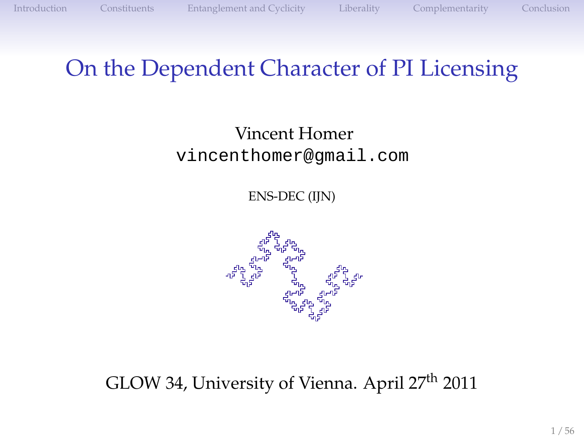#### On the Dependent Character of PI Licensing

#### Vincent Homer vincenthomer@gmail.com

ENS-DEC (IJN)



#### GLOW 34, University of Vienna. April 27th 2011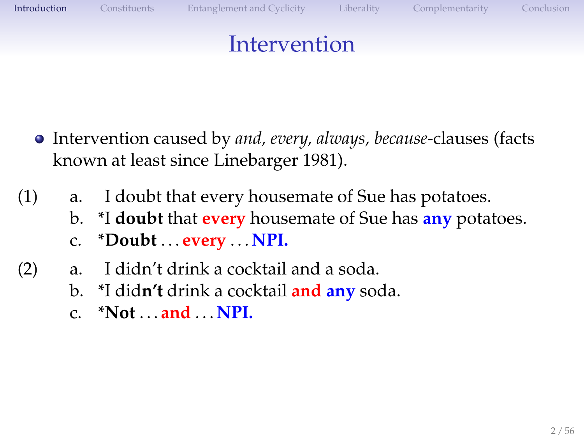<span id="page-1-0"></span>

### Intervention

- Intervention caused by *and, every, always, because*-clauses (facts known at least since Linebarger 1981).
- (1) a. I doubt that every housemate of Sue has potatoes.
	- b. \*I **doubt** that **every** housemate of Sue has **any** potatoes.
	- c. \***Doubt** . . . **every** . . . **NPI.**
- (2) a. I didn't drink a cocktail and a soda.
	- b. \*I did**n't** drink a cocktail **and any** soda.
	- c. \***Not** . . . **and** . . . **NPI.**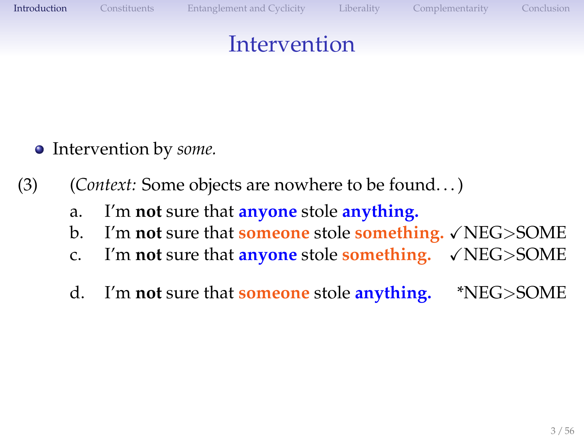#### Intervention

- Intervention by *some.*
- (3) (*Context:* Some objects are nowhere to be found. . . )
	- a. I'm **not** sure that **anyone** stole **anything.**
	- b. I'm not sure that **someone** stole **something.**  $\sqrt{\text{NEG}}$ SOME
	- c. I'm **not** sure that **anyone** stole **something.** XNEG>SOME
	- d. I'm **not** sure that **someone** stole **anything.** \*NEG>SOME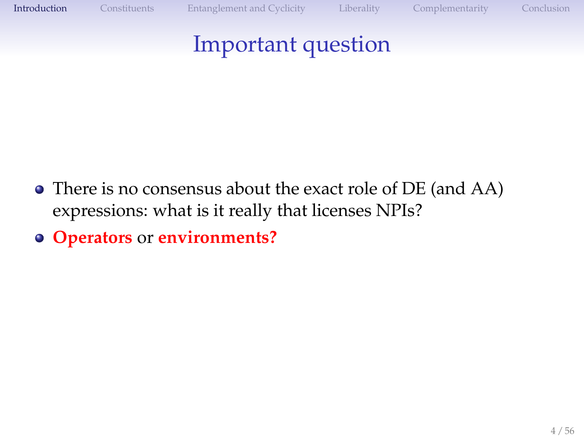### Important question

- There is no consensus about the exact role of DE (and AA) expressions: what is it really that licenses NPIs?
- **Operators** or **environments?**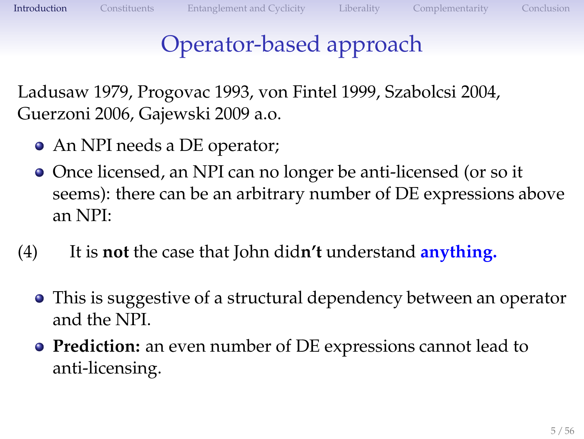### Operator-based approach

Ladusaw 1979, Progovac 1993, von Fintel 1999, Szabolcsi 2004, Guerzoni 2006, Gajewski 2009 a.o.

- An NPI needs a DE operator;
- Once licensed, an NPI can no longer be anti-licensed (or so it seems): there can be an arbitrary number of DE expressions above an NPI:
- (4) It is **not** the case that John did**n't** understand **anything.**
	- This is suggestive of a structural dependency between an operator and the NPI.
	- **Prediction:** an even number of DE expressions cannot lead to anti-licensing.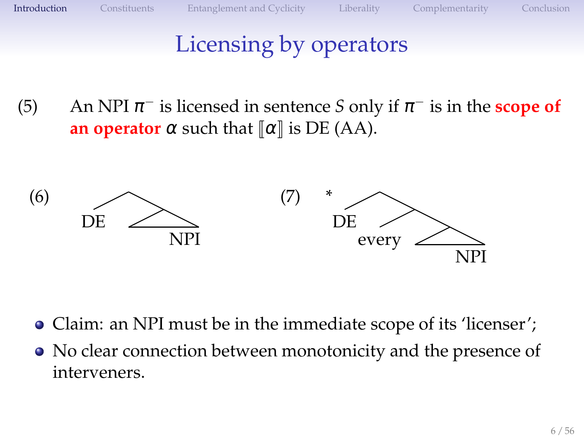### Licensing by operators

(5) An NPI  $\pi^-$  is licensed in sentence *S* only if  $\pi^-$  is in the **scope of an operator**  $\alpha$  such that  $\alpha \parallel \alpha \parallel$  is DE (AA).



- Claim: an NPI must be in the immediate scope of its 'licenser';
- No clear connection between monotonicity and the presence of interveners.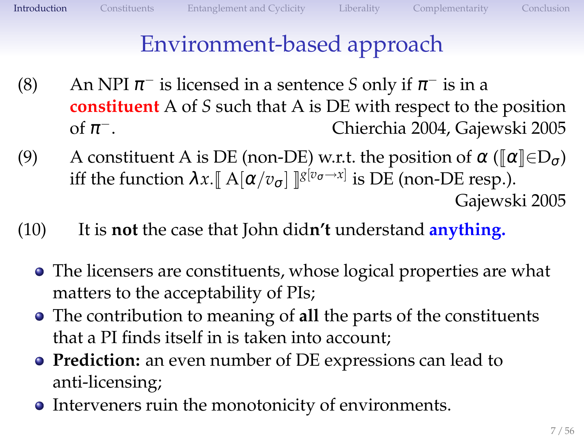## Environment-based approach

- (8) An NPI  $\pi^-$  is licensed in a sentence *S* only if  $\pi^-$  is in a **constituent** A of *S* such that A is DE with respect to the position of  $\pi^-$ . <sup>−</sup>. Chierchia 2004, Gajewski 2005
- (9) A constituent A is DE (non-DE) w.r.t. the position of  $\alpha \left( \llbracket \alpha \rrbracket \in D_{\sigma} \right)$ iff the function  $\lambda x. \llbracket \operatorname{A}[\alpha/v_{\sigma}] \rrbracket^{g[v_{\sigma} \to x]}$  is DE (non-DE resp.). Gajewski 2005
- (10) It is **not** the case that John did**n't** understand **anything.**
	- The licensers are constituents, whose logical properties are what matters to the acceptability of PIs;
	- The contribution to meaning of **all** the parts of the constituents that a PI finds itself in is taken into account;
	- **Prediction:** an even number of DE expressions can lead to anti-licensing;
	- Interveners ruin the monotonicity of environments.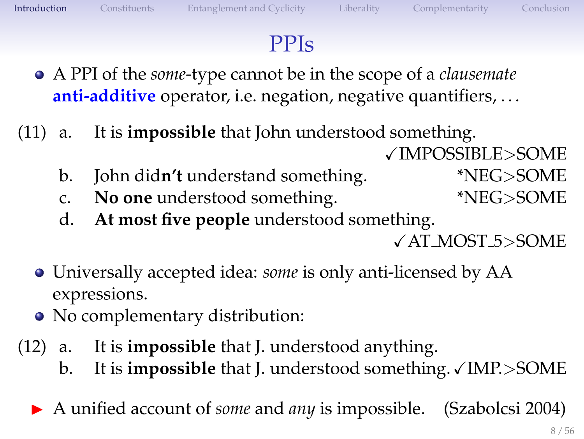### PPIs

- A PPI of the *some-*type cannot be in the scope of a *clausemate* **anti-additive** operator, i.e. negation, negative quantifiers, ...
- (11) a. It is **impossible** that John understood something. XIMPOSSIBLE>SOME
	- b. John did**n't** understand something. \*NEG>SOME
	- c. **No one** understood something. \*NEG>SOME
	- d. **At most five people** understood something.

XAT MOST 5>SOME

- Universally accepted idea: *some* is only anti-licensed by AA expressions.
- No complementary distribution:
- (12) a. It is **impossible** that J. understood anything.
	- b. It is **impossible** that J. understood something. VIMP.>SOME
	- ▶ A unified account of *some* and *any* is impossible. (Szabolcsi 2004)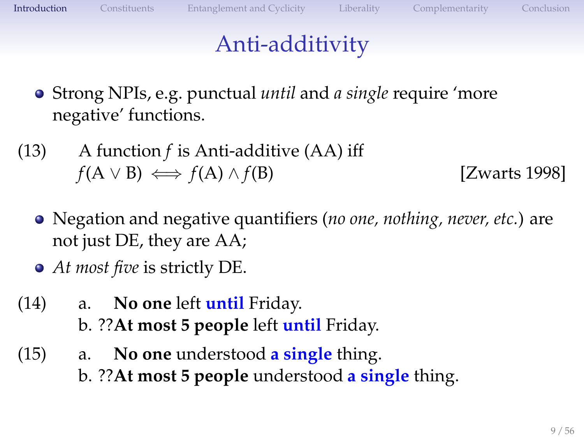### Anti-additivity

- Strong NPIs, e.g. punctual *until* and *a single* require 'more negative' functions.
- (13) A function *f* is Anti-additive (AA) iff  $f(A \vee B) \iff f(A) \wedge f(B)$  [Zwarts 1998]
	- Negation and negative quantifiers (*no one, nothing, never, etc.*) are not just DE, they are AA;
	- *At most five* is strictly DE.
- (14) a. **No one** left **until** Friday. b. ??**At most 5 people** left **until** Friday.
- (15) a. **No one** understood **a single** thing. b. ??**At most 5 people** understood **a single** thing.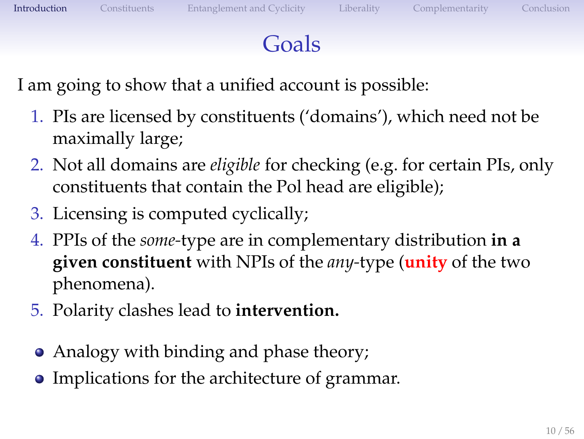### Goals

I am going to show that a unified account is possible:

- 1. PIs are licensed by constituents ('domains'), which need not be maximally large;
- 2. Not all domains are *eligible* for checking (e.g. for certain PIs, only constituents that contain the Pol head are eligible);
- 3. Licensing is computed cyclically;
- 4. PPIs of the *some-*type are in complementary distribution **in a given constituent** with NPIs of the *any-*type (**unity** of the two phenomena).
- 5. Polarity clashes lead to **intervention.**
- Analogy with binding and phase theory;
- Implications for the architecture of grammar.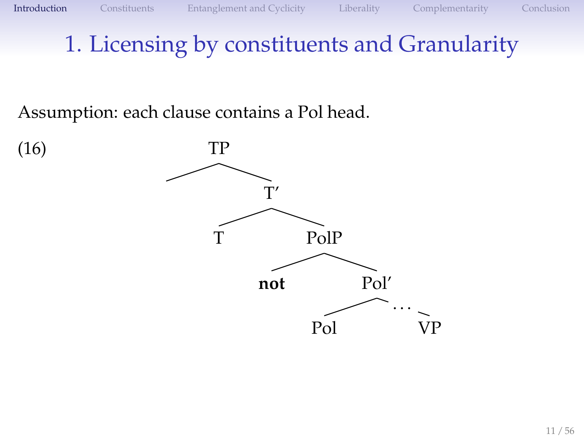Assumption: each clause contains a Pol head.

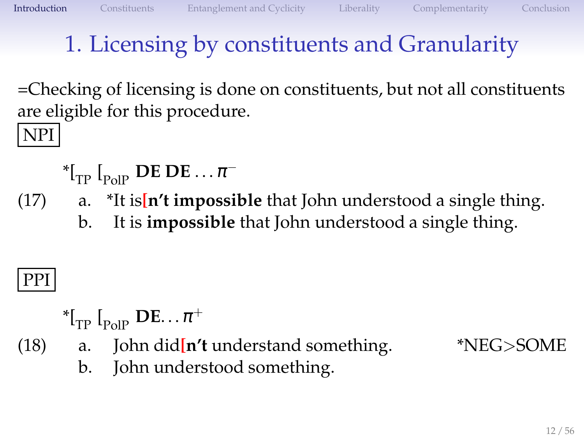=Checking of licensing is done on constituents, but not all constituents are eligible for this procedure.

NPI

- ${}^*{\mathfrak l}_{\mathrm{TP}}$   ${\mathfrak l}_{\mathrm{PolP}}$  **DE DE**  $\ldots \pi^-$
- (17) a. \*It is**[n't impossible** that John understood a single thing.
	- b. It is **impossible** that John understood a single thing.

### PPI

- ${}^*{\mathfrak l}_\mathrm{TP}^{} \mathfrak l_\mathrm{PolP}^{}$   $\mathbf{DE} \ldots \pi^+$
- (18) a. John did**[n't** understand something. \*NEG>SOME

b. John understood something.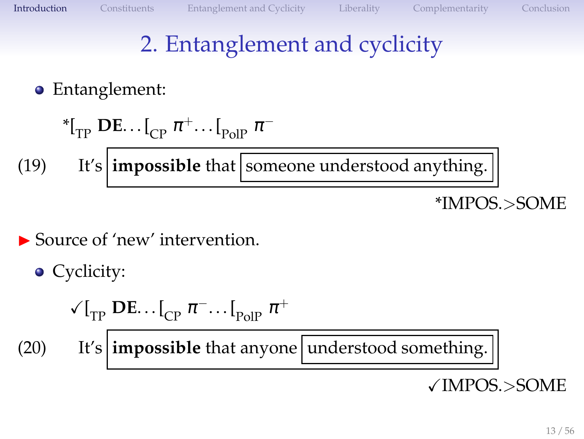## 2. Entanglement and cyclicity

#### Entanglement:

\*(19) 
$$
{}^{*}[\text{TP} \text{DE} \dots [\text{CP} \text{π}^+ \dots [\text{PolP} \text{π}^-]
$$
\n(19) It's **impossible** that **Someone understood anything. EMPOS** > **SOME**

#### ▶ Source of 'new' intervention.

\n- Cyclicity: 
$$
\sqrt{I_{TP} \cdot I_{CP} \pi} \cdot \sqrt{I_{PoIP} \pi}
$$
\n- (20) It's **impossible** that anyone **understood something.**  $\sqrt{I_{TP} \cdot I_{CP} \cdot I_{CP}}$
\n

XIMPOS.>SOME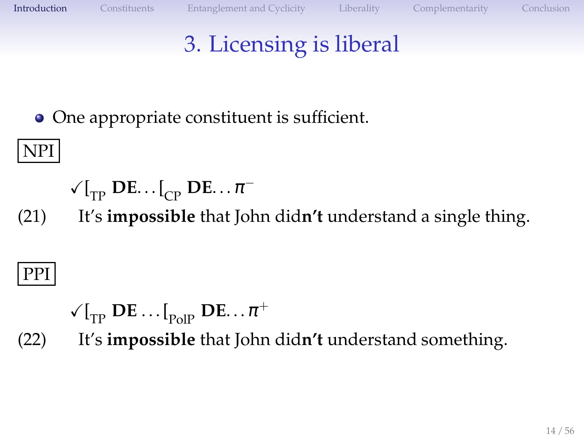## 3. Licensing is liberal

• One appropriate constituent is sufficient.

### NPI

- $\sqrt{\binom{r}{T}}$  **DE**... $\binom{r}{C}$  **DE**... $\pi^{-}$
- (21) It's **impossible** that John did**n't** understand a single thing.

## PPI

- $\sqrt{\binom{F}{T}}$  **DE** . . .  $\binom{F}{P}$  **DE** . . .  $\pi^+$
- (22) It's **impossible** that John did**n't** understand something.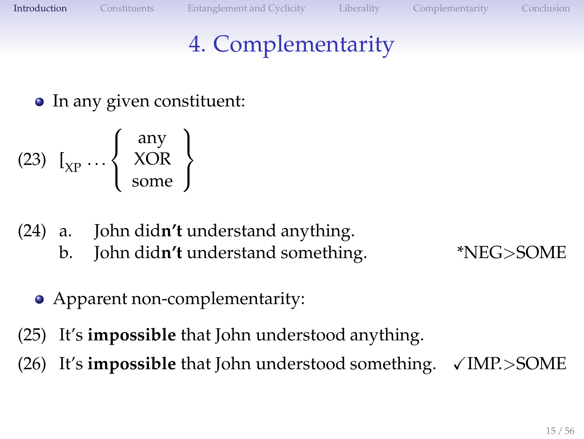## 4. Complementarity

• In any given constituent:

$$
(23) \ \ I_{XP} \cdots \left\{ \begin{array}{c} \text{any} \\ \text{XOR} \\ \text{some} \end{array} \right\}
$$

- (24) a. John did**n't** understand anything.
	- b. John did**n't** understand something. \*NEG>SOME

- Apparent non-complementarity:
- (25) It's **impossible** that John understood anything.
- $(26)$  It's **impossible** that John understood something.  $\sqrt{\text{IMP}}$ .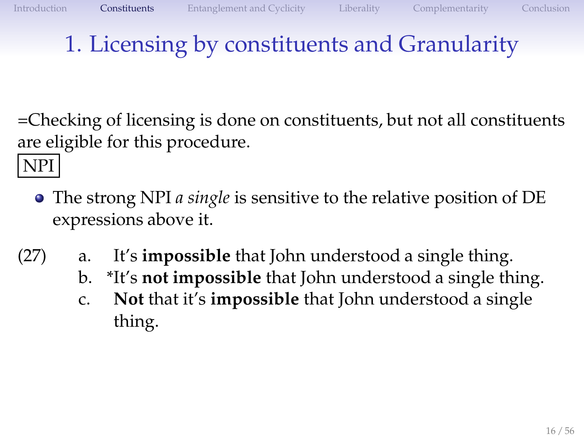=Checking of licensing is done on constituents, but not all constituents are eligible for this procedure.

NPI

- The strong NPI *a single* is sensitive to the relative position of DE expressions above it.
- <span id="page-15-0"></span>(27) a. It's **impossible** that John understood a single thing.
	- b. \*It's **not impossible** that John understood a single thing.
	- c. **Not** that it's **impossible** that John understood a single thing.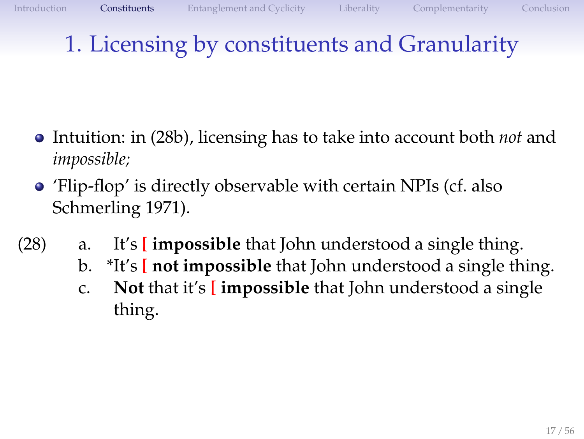- Intuition: in [\(28b\),](#page-16-0) licensing has to take into account both *not* and *impossible;*
- <span id="page-16-1"></span><span id="page-16-0"></span>'Flip-flop' is directly observable with certain NPIs (cf. also Schmerling 1971).
- <span id="page-16-2"></span>(28) a. It's **[ impossible** that John understood a single thing.
	- b. \*It's **[ not impossible** that John understood a single thing.
	- c. **Not** that it's **[ impossible** that John understood a single thing.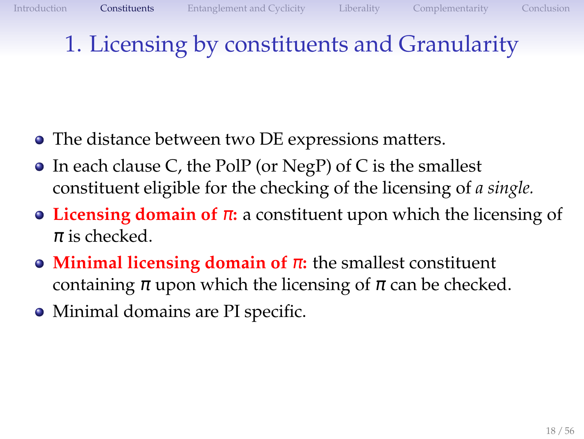- The distance between two DE expressions matters.
- In each clause C, the PolP (or NegP) of C is the smallest constituent eligible for the checking of the licensing of *a single.*
- **Licensing domain of** <sup>π</sup>**:** a constituent upon which the licensing of  $\pi$  is checked.
- **Minimal licensing domain of** <sup>π</sup>**:** the smallest constituent containing  $\pi$  upon which the licensing of  $\pi$  can be checked.
- Minimal domains are PI specific.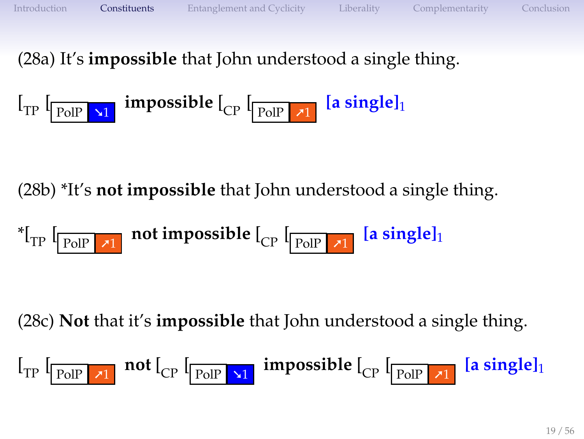[\(28a\)](#page-16-1) It's **impossible** that John understood a single thing.

$$
\left[\begin{smallmatrix}1_{TP} & \textbf{r} & \textbf{r} & \textbf{r} & \textbf{r} & \textbf{r} & \textbf{r} & \textbf{r} & \textbf{r} & \textbf{r} & \textbf{r} & \textbf{r} & \textbf{r} & \textbf{r} & \textbf{r} & \textbf{r} & \textbf{r} & \textbf{r} & \textbf{r} & \textbf{r} & \textbf{r} & \textbf{r} & \textbf{r} & \textbf{r} & \textbf{r} & \textbf{r} & \textbf{r} & \textbf{r} & \textbf{r} & \textbf{r} & \textbf{r} & \textbf{r} & \textbf{r} & \textbf{r} & \textbf{r} & \textbf{r} & \textbf{r} & \textbf{r} & \textbf{r} & \textbf{r} & \textbf{r} & \textbf{r} & \textbf{r} & \textbf{r} & \textbf{r} & \textbf{r} & \textbf{r} & \textbf{r} & \textbf{r} & \textbf{r} & \textbf{r} & \textbf{r} & \textbf{r} & \textbf{r} & \textbf{r} & \textbf{r} & \textbf{r} & \textbf{r} & \textbf{r} & \textbf{r} & \textbf{r} & \textbf{r} & \textbf{r} & \textbf{r} & \textbf{r} & \textbf{r} & \textbf{r} & \textbf{r} & \textbf{r} & \textbf{r} & \textbf{r} & \textbf{r} & \textbf{r} & \textbf{r} & \textbf{r} & \textbf{r} & \textbf{r} & \textbf{r} & \textbf{r} & \textbf{r} & \textbf{r} & \textbf{r} & \textbf{r} & \textbf{r} & \textbf{r} & \textbf{r} & \textbf{r} & \textbf{r} & \textbf{r} & \textbf{r} & \textbf{r} & \textbf{r} & \textbf{r} & \textbf{r} & \textbf{r} & \textbf{r} & \textbf{r} & \textbf{r} & \textbf{r} & \textbf{r} & \textbf{r} & \textbf{r} & \textbf{r} & \textbf{r} & \textbf{r} & \textbf{r} & \textbf{r} & \textbf{r
$$

[\(28b\)](#page-16-0) \*It's **not impossible** that John understood a single thing.

$$
{}^*\left[\begin{array}{cc|c}\text{POIP} & \text{at} & \text{not impossible} \end{array}\right] \left[\begin{array}{cc|c}\text{POIIP} & \text{at} & \text{ingle}\end{array}\right]
$$

[\(28c\)](#page-16-2) **Not** that it's **impossible** that John understood a single thing.

$$
\left[\begin{array}{cc|c}1_{TP} & \text{for} & \text{not } \end{array}\right]_{CP} \left[\begin{array}{cc|c}1_{P0IP} & \text{inpossible} & \end{array}\right]_{CP} \left[\begin{array}{cc|c}1_{P0IP} & \text{in possible} \end{array}\right]
$$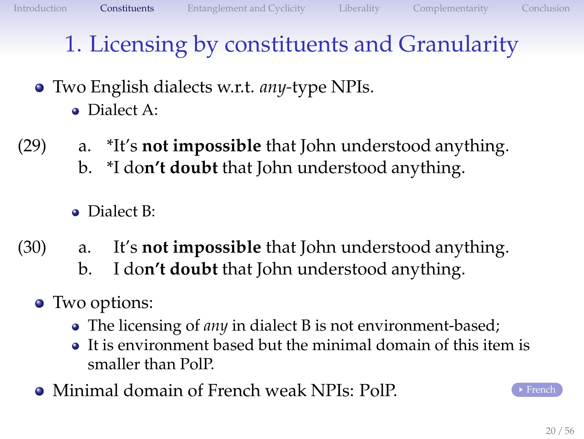#### Two English dialects w.r.t. *any-*type NPIs. Dialect A:

(29) a. \*It's **not impossible** that John understood anything. b. \*I do**n't doubt** that John understood anything.

**·** Dialect B:

- (30) a. It's **not impossible** that John understood anything.
	- b. I do**n't doubt** that John understood anything.
	- Two options:
		- The licensing of *any* in dialect B is not environment-based;
		- It is environment based but the minimal domain of this item is smaller than PolP.
	- **Minimal domain of [French](#page-54-0) weak NPIs: PolP.** French

<span id="page-19-0"></span>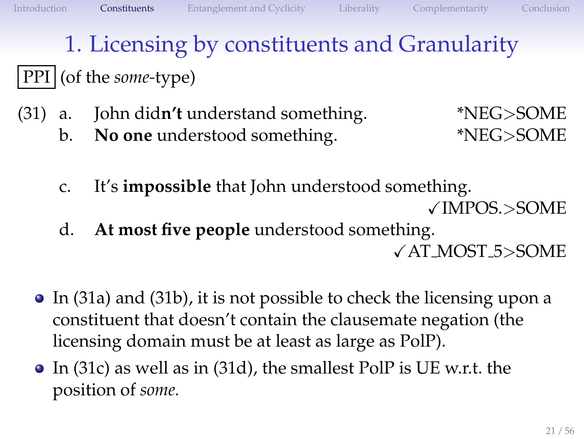#### PPI (of the *some-*type)

- (31) a. John did**n't** understand something. \*NEG>SOME
	- b. **No one** understood something. \*NEG>SOME

- <span id="page-20-1"></span>c. It's **impossible** that John understood something. XIMPOS.>SOME
- d. **At most five people** understood something.

<span id="page-20-3"></span><span id="page-20-2"></span><span id="page-20-0"></span>XAT MOST 5>SOME

- In [\(31a\)](#page-20-0) and [\(31b\),](#page-20-1) it is not possible to check the licensing upon a constituent that doesn't contain the clausemate negation (the licensing domain must be at least as large as PolP).
- In [\(31c\)](#page-20-2) as well as in [\(31d\),](#page-20-3) the smallest PolP is UE w.r.t. the position of *some.*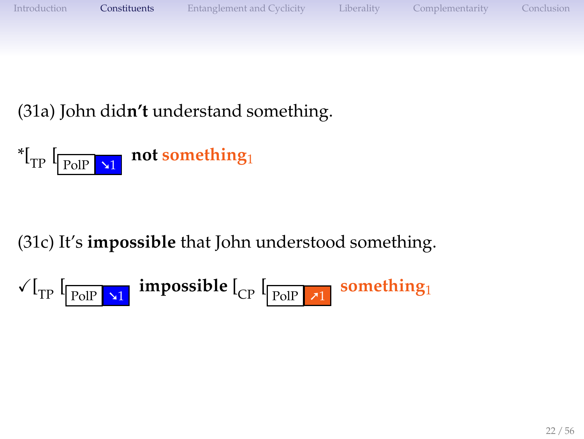

[\(31a\)](#page-20-0) John did**n't** understand something.



[\(31c\)](#page-20-2) It's **impossible** that John understood something.

$$
\sqrt{I_{TP}} \left[ \frac{\log \frac{1}{2} \cdot \text{impossible}}{\log \log \frac{1}{2} \cdot \text{impossible}} \right]
$$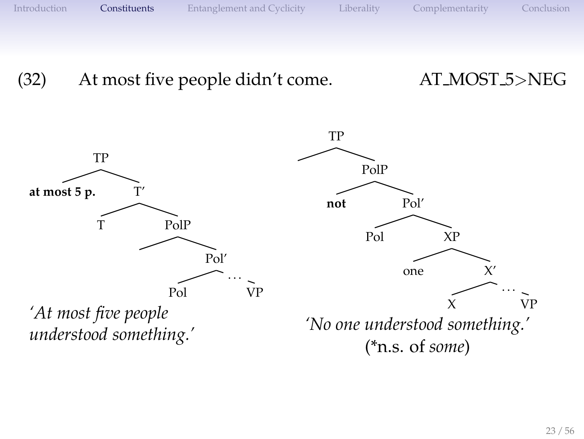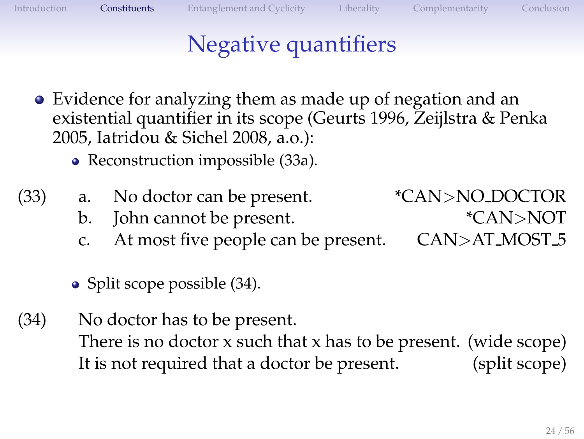### <span id="page-23-0"></span>Negative quantifiers

- Evidence for analyzing them as made up of negation and an existential quantifier in its scope (Geurts 1996, Zeijlstra & Penka 2005, Iatridou & Sichel 2008, a.o.):
	- Reconstruction impossible [\(33a\).](#page-23-0)
- (33) a. No doctor can be present. \*CAN>NO DOCTOR
	- b. John cannot be present.  $*$ CAN>NOT
	- c. At most five people can be present. CAN>AT MOST 5
	- Split scope possible [\(34\).](#page-23-1)
- <span id="page-23-1"></span>(34) No doctor has to be present. There is no doctor x such that x has to be present. (wide scope) It is not required that a doctor be present. (split scope)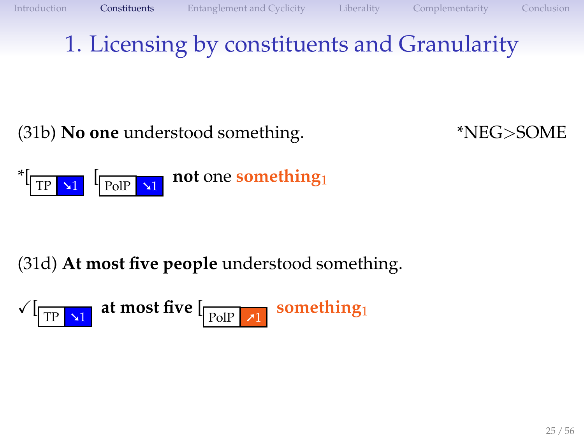[\(31b\)](#page-20-1) **No one** understood something. \*NEG>SOME



#### [\(31d\)](#page-20-3) **At most five people** understood something.

$$
\sqrt{[{\rm TP}]{\bf x}_1} \text{ at most five } [\text{pole } {\bf x}_1 \text{ something}]
$$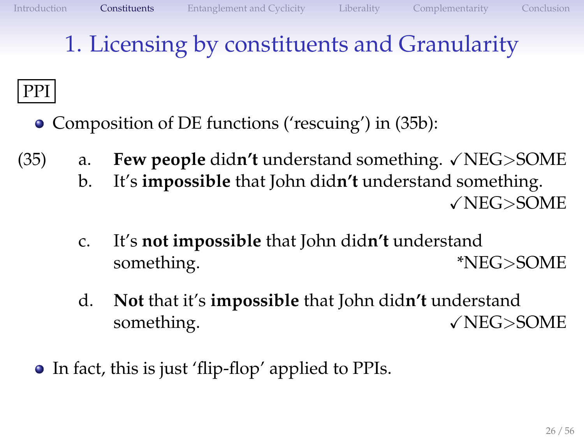### PPI

- <span id="page-25-2"></span><span id="page-25-1"></span><span id="page-25-0"></span>• Composition of DE functions ('rescuing') in [\(35b\):](#page-25-0)
- <span id="page-25-3"></span> $(35)$  a. **Few people** didn't understand something.  $\sqrt{\text{NEG}}$ SOME
	- b. It's **impossible** that John did**n't** understand something. XNEG>SOME
	- c. It's **not impossible** that John did**n't** understand something.  $*NEG>SOME$
	- d. **Not** that it's **impossible** that John did**n't** understand something.  $\sqrt{\text{NEG}}$ >SOME
	- In fact, this is just 'flip-flop' applied to PPIs.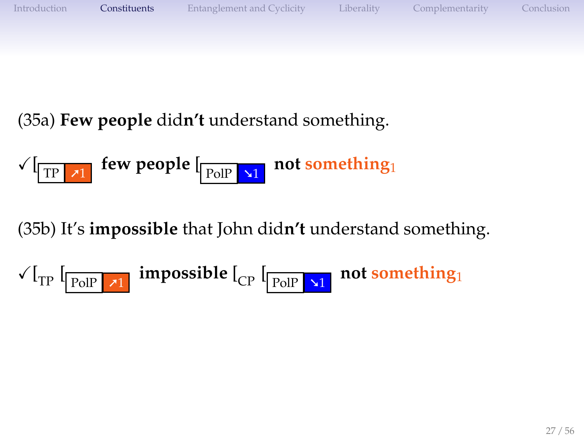

[\(35a\)](#page-25-1) **Few people** did**n't** understand something.

$$
\sqrt{[{\rm TP} \; \textbf{x}]} \; \text{few people} \; [\text{pole} \; \textbf{x} \; \text{not something}]
$$

[\(35b\)](#page-25-0) It's **impossible** that John did**n't** understand something.

$$
\text{$\sqrt{1}$}_{TP}\text{ }[\textcolor{red}{\fbox{PolP}} \textcolor{red}{\fbox{---}\pi1} \text{ } \text{impossible}\text{ }[\textcolor{red}{\fbox{Cp}} \text{ }[\textcolor{red}{\fbox{--}\text{PolP}} \textcolor{red}{\fbox{---}\pi1} \text{ } \text{not something}]\text{ }
$$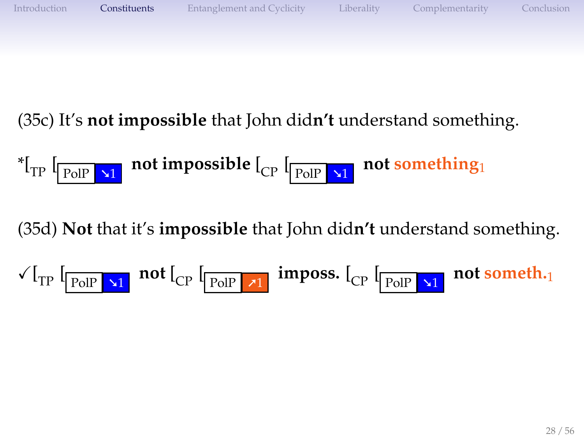

[\(35c\)](#page-25-2) It's **not impossible** that John did**n't** understand something.

$$
{}^*\left[\begin{array}{cc|c}\n\text{I}_{\text{POIP}} & \text{at} \\
\hline\n\end{array}\right]
$$
 not impossible 
$$
\left[\begin{array}{cc|c}\n\text{I}_{\text{POIP}} & \text{at} \\
\hline\n\end{array}\right]
$$
 not something.

[\(35d\)](#page-25-3) **Not** that it's **impossible** that John did**n't** understand something.

$$
\sqrt{I_{TP}} \left[ \frac{1}{P_{OIP}} \sum_{i=1}^{N} \frac{1}{N} \prod_{i=1}^{N} \left[ \frac{1}{P_{OIP}} \sum_{i=1}^{N} \left[ \frac{1}{P_{OIP}} \sum_{i=1}^{N} \left[ \frac{1}{P_{OIP}} \sum_{i=1}^{N} \left[ \frac{1}{P_{OIP}} \sum_{i=1}^{N} \left[ \frac{1}{P_{OIP}} \sum_{i=1}^{N} \left[ \frac{1}{P_{OIP}} \sum_{i=1}^{N} \left[ \frac{1}{P_{OIP}} \sum_{i=1}^{N} \left[ \frac{1}{P_{OIP}} \sum_{i=1}^{N} \left[ \frac{1}{P_{OIP}} \sum_{i=1}^{N} \left[ \frac{1}{P_{OIP}} \sum_{i=1}^{N} \left[ \frac{1}{P_{OIP}} \sum_{i=1}^{N} \left[ \frac{1}{P_{OIP}} \sum_{i=1}^{N} \left[ \frac{1}{P_{OIP}} \sum_{i=1}^{N} \left[ \frac{1}{P_{OIP}} \sum_{i=1}^{N} \left[ \frac{1}{P_{OIP}} \sum_{i=1}^{N} \left[ \frac{1}{P_{OIP}} \sum_{i=1}^{N} \left[ \frac{1}{P_{OIP}} \sum_{i=1}^{N} \left[ \frac{1}{P_{OIP}} \sum_{i=1}^{N} \left[ \frac{1}{P_{OIP}} \sum_{i=1}^{N} \left[ \frac{1}{P_{OIP}} \sum_{i=1}^{N} \left[ \frac{1}{P_{OIP}} \sum_{i=1}^{N} \left[ \frac{1}{P_{OIP}} \sum_{i=1}^{N} \left[ \frac{1}{P_{OIP}} \sum_{i=1}^{N} \left[ \frac{1}{P_{OIP}} \sum_{i=1}^{N} \left[ \frac{1}{P_{OIP}} \sum_{i=1}^{N} \left[ \frac{1}{P_{OIP}} \sum_{i=1}^{N} \left[ \frac{1}{P_{OIP}} \right] \right] \right] \right] \right) \right) \right]
$$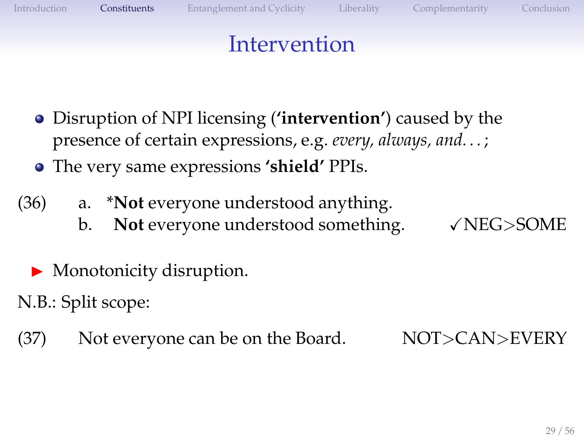#### Intervention

- Disruption of NPI licensing (**'intervention'**) caused by the  $\bullet$ presence of certain expressions, e.g. *every, always, and. . .* ;
- The very same expressions **'shield'** PPIs.
- (36) a. \***Not** everyone understood anything.
	- b. **Not** everyone understood something.  $\sqrt{\text{NEG}}$ SOME

- $\blacktriangleright$  Monotonicity disruption.
- N.B.: Split scope:
- (37) Not everyone can be on the Board.  $NOT > CAN > EVERY$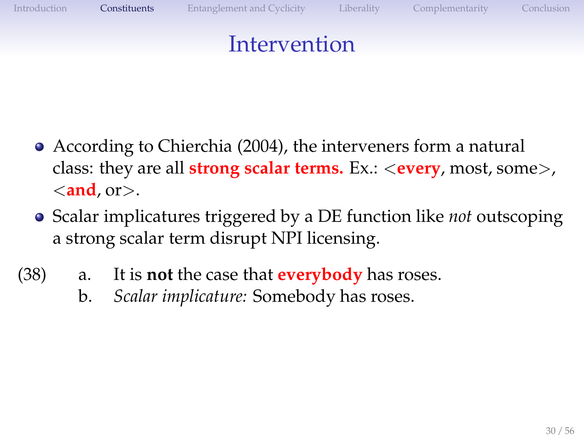

- According to Chierchia (2004), the interveners form a natural class: they are all **strong scalar terms.** Ex.: <**every**, most, some>, <**and**, or>.
- Scalar implicatures triggered by a DE function like *not* outscoping a strong scalar term disrupt NPI licensing.
- (38) a. It is **not** the case that **everybody** has roses.
	- b. *Scalar implicature:* Somebody has roses.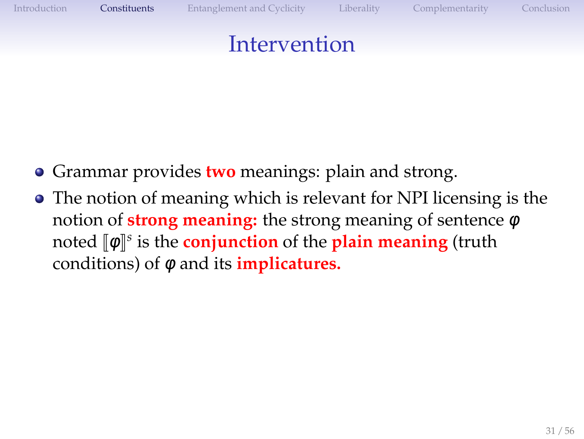#### Intervention

- **Grammar provides two meanings: plain and strong.**
- The notion of meaning which is relevant for NPI licensing is the notion of **strong meaning:** the strong meaning of sentence φ **noted**  $[\![\phi]\!]^s$  **is the conjunction** of the **plain meaning** (truth conditions) of φ and its **implicatures.**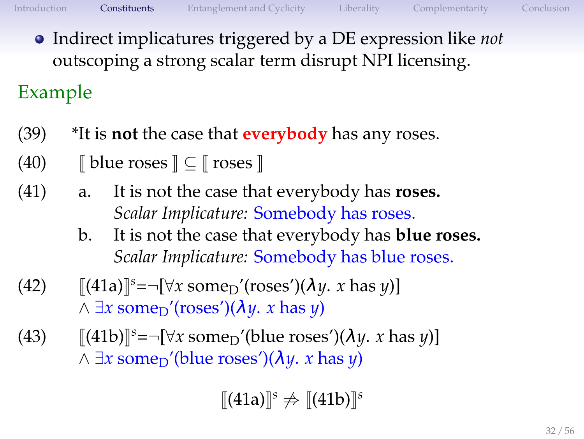<span id="page-31-0"></span>

Indirect implicatures triggered by a DE expression like *not* outscoping a strong scalar term disrupt NPI licensing.

Example

- (39) \*It is **not** the case that **everybody** has any roses.
- (40)  $\Box$  J blue roses  $\Box \subset \Box$  roses  $\Box$
- (41) a. It is not the case that everybody has **roses.** *Scalar Implicature:* Somebody has roses.
	- b. It is not the case that everybody has **blue roses.** *Scalar Implicature:* Somebody has blue roses.
- $(42)$  [[\(41a\)](#page-31-0)]<sup>s</sup>=¬[ $\forall x$  some<sub>D</sub>'(roses')( $\lambda y$ . *x* has *y*)]  $\land \exists x \text{ some} \land \text{r}$ '(roses')( $\lambda y$ . *x* has *y*)
- (43)  $[[(41b)]^s = -[\forall x \text{ some}_D'(\text{blue crosses'})(\lambda y. x \text{ has } y)]$  $[[(41b)]^s = -[\forall x \text{ some}_D'(\text{blue crosses'})(\lambda y. x \text{ has } y)]$  $[[(41b)]^s = -[\forall x \text{ some}_D'(\text{blue crosses'})(\lambda y. x \text{ has } y)]$  $\land \exists x$  some<sub>D</sub>'(blue roses')( $\lambda y$ . *x* has *y*)

<span id="page-31-1"></span> $[[(41a)]^s$  $[[(41a)]^s$  $[[(41a)]^s$   $\neq$   $[[(41b)]^s$  $[[(41b)]^s$  $[[(41b)]^s$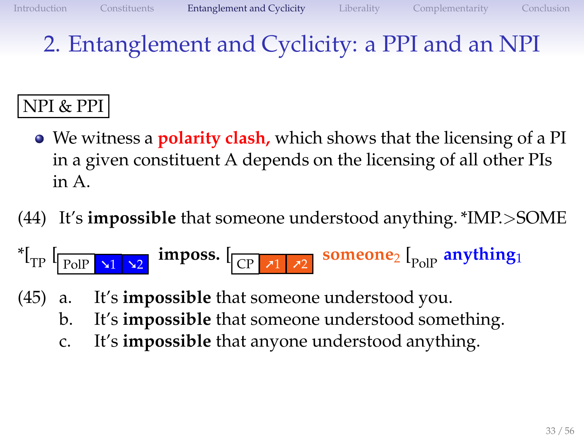## 2. Entanglement and Cyclicity: a PPI and an NPI

#### NPI & PPI

- We witness a **polarity clash,** which shows that the licensing of a PI in a given constituent A depends on the licensing of all other PIs in A.
- (44) It's **impossible** that someone understood anything. \*IMP.>SOME

$$
^{*}[\text{TP} \text{ [PolP x1 x2 } \text{ imposs.} \text{ [CP x1 x2 } \text{ someone} \text{ [PolP anything}]
$$

- <span id="page-32-0"></span>(45) a. It's **impossible** that someone understood you.
	- b. It's **impossible** that someone understood something.
	- c. It's **impossible** that anyone understood anything.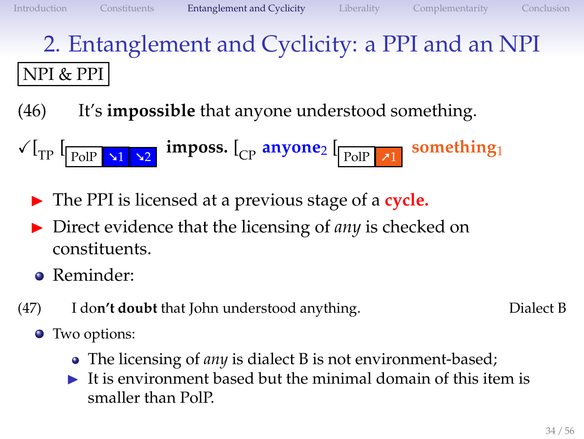# 2. Entanglement and Cyclicity: a PPI and an NPI NPI & PPI

(46) It's **impossible** that anyone understood something.

$$
\sqrt{I_{TP} \left[ \frac{P_{OIP} \cdot \mathbf{1}_{1} \cdot \mathbf{1}_{2}}{P_{OIP} \cdot \mathbf{1}_{2}} \right]^{2}}
$$

- ◮ The PPI is licensed at a previous stage of a **cycle.**
- ◮ Direct evidence that the licensing of *any* is checked on constituents.
- Reminder:
- (47) I do**n't doubt** that John understood anything. Dialect B

- Two options:
	- The licensing of *any* is dialect B is not environment-based;
	- $\blacktriangleright$  It is environment based but the minimal domain of this item is smaller than PolP.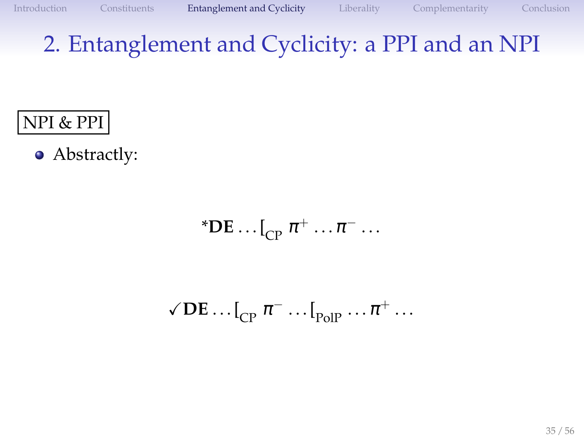### 2. Entanglement and Cyclicity: a PPI and an NPI

#### NPI & PPI

• Abstractly:

\***DE** ... 
$$
\begin{bmatrix} 0 & \pi^+ & \dots & \pi^- & \dots \end{bmatrix}
$$

$$
\sqrt{\text{DE}} \dots \left[\begin{smallmatrix} 0 \\ CP \end{smallmatrix} \pi^- \dots \left[\begin{smallmatrix} 0 \\ P_0 \end{smallmatrix} \right] \dots \pi^+ \dots \right]
$$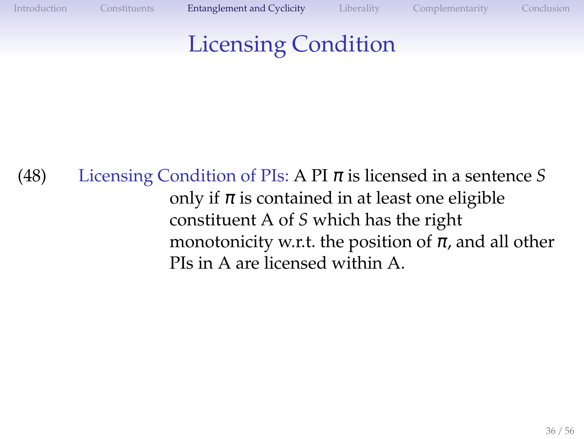### Licensing Condition

(48) Licensing Condition of PIs: A PI  $\pi$  is licensed in a sentence *S* only if  $\pi$  is contained in at least one eligible constituent A of *S* which has the right monotonicity w.r.t. the position of  $\pi$ , and all other PIs in A are licensed within A.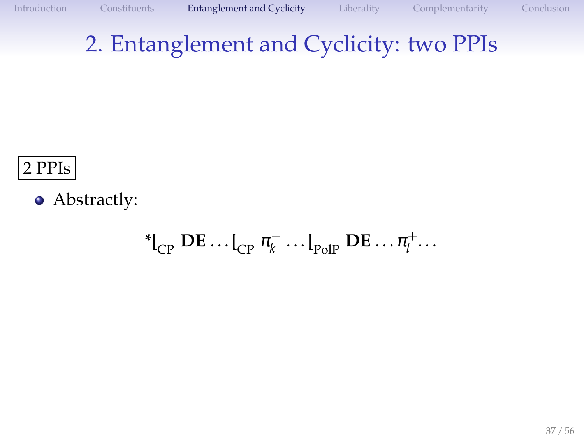#### 2 PPIs

• Abstractly:

$$
{}^*{\mathfrak{l}}_{\mathsf{CP}}\,\mathbf{DE}\ldots{\mathfrak{l}}_{\mathsf{CP}}\,\pi_k^+\ldots{\mathfrak{l}}_{\mathsf{PolP}}\,\mathbf{DE}\ldots{\pi_l^+\ldots}
$$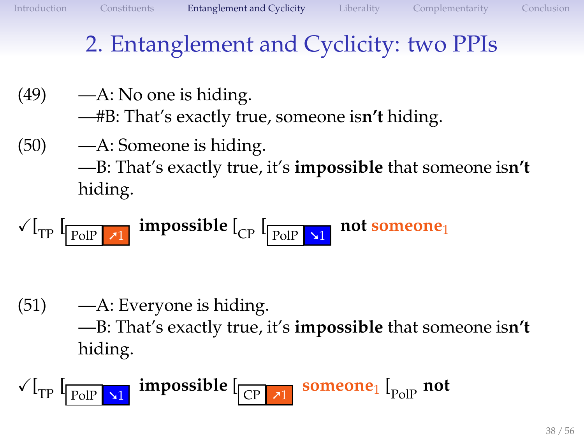- $(49)$  —A: No one is hiding. —#B: That's exactly true, someone is**n't** hiding.
- (50) —A: Someone is hiding. —B: That's exactly true, it's **impossible** that someone is**n't** hiding.
- $\sqrt{r}$   $\sqrt{r}$   $\sqrt{r}$   $\sqrt{r}$   $\sqrt{r}$ **impossible** [<sub>CP</sub> [<sub>PolP</sub>  $\sqrt{1}$ **not someone**<sup>1</sup>

(51) —A: Everyone is hiding. —B: That's exactly true, it's **impossible** that someone is**n't** hiding.

 $\sqrt{r}$   $\sqrt{r}$   $\sqrt{r}$   $\sqrt{r}$   $\sqrt{r}$   $\sqrt{r}$ **impossible** [ CP ➚1 **someone**<sup>1</sup> [ PolP **not**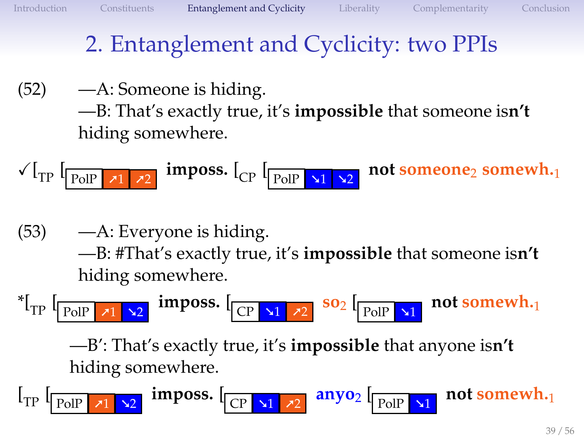(52) —A: Someone is hiding. —B: That's exactly true, it's **impossible** that someone is**n't**

hiding somewhere.

$$
\sqrt{I_{TP}} \left[ \frac{1}{P_{OIP} \cdot 11} \cdot \frac{1}{11} \cdot 21 \cdot \frac{1}{11} \cdot 21 \cdot \frac{1}{11} \cdot 21 \cdot \frac{1}{11} \cdot 21 \cdot \frac{1}{11} \cdot 21 \cdot \frac{1}{11} \cdot 21 \cdot \frac{1}{11} \cdot 21 \cdot \frac{1}{11} \cdot 21 \cdot \frac{1}{11} \cdot 21 \cdot \frac{1}{11} \cdot 21 \cdot \frac{1}{11} \cdot 21 \cdot \frac{1}{11} \cdot 21 \cdot \frac{1}{11} \cdot 21 \cdot \frac{1}{11} \cdot 21 \cdot \frac{1}{11} \cdot 21 \cdot \frac{1}{11} \cdot 21 \cdot \frac{1}{11} \cdot 21 \cdot \frac{1}{11} \cdot 21 \cdot \frac{1}{11} \cdot 21 \cdot \frac{1}{11} \cdot 21 \cdot \frac{1}{11} \cdot 21 \cdot \frac{1}{11} \cdot 21 \cdot \frac{1}{11} \cdot 21 \cdot \frac{1}{11} \cdot 21 \cdot \frac{1}{11} \cdot 21 \cdot \frac{1}{11} \cdot 21 \cdot \frac{1}{11} \cdot 21 \cdot \frac{1}{11} \cdot 21 \cdot \frac{1}{11} \cdot 21 \cdot \frac{1}{11} \cdot 21 \cdot \frac{1}{11} \cdot 21 \cdot \frac{1}{11} \cdot 21 \cdot \frac{1}{11} \cdot 21 \cdot \frac{1}{11} \cdot 21 \cdot \frac{1}{11} \cdot 21 \cdot \frac{1}{11} \cdot 21 \cdot \frac{1}{11} \cdot 21 \cdot \frac{1}{11} \cdot 21 \cdot \frac{1}{11} \cdot 21 \cdot \frac{1}{11} \cdot 21 \cdot \frac{1}{11} \cdot 21 \cdot \frac{1}{11} \cdot 21 \cdot \frac{1}{11} \cdot 21 \cdot \frac{1}{11} \cdot 21 \cdot \frac{1}{11} \cdot 21 \cdot \frac{1}{11} \cdot 21 \cdot \frac{1}{11} \cdot 21 \cdot \frac{1}{11} \cdot 21 \cdot \frac{1}{11} \cdot 2
$$

(53) —A: Everyone is hiding. —B: #That's exactly true, it's **impossible** that someone is**n't** hiding somewhere.

<sup>\*</sup>[<sub>TP</sub> 
$$
\boxed{\text{PolP } \pi1 \times 2}
$$
 imposes.  $\boxed{\text{CP } \pi1 \times 2}$  so<sub>2</sub>  $\boxed{\text{PolP } \pi1}$  not somewhat.

—B': That's exactly true, it's **impossible** that anyone is**n't** hiding somewhere.

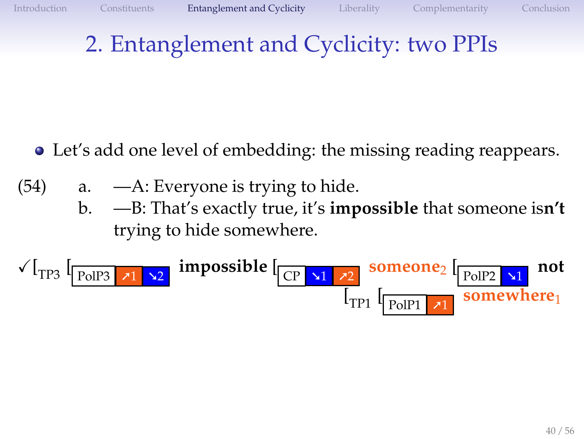- Let's add one level of embedding: the missing reading reappears.
- $(54)$  a.  $-A$ : Everyone is trying to hide.
	- b. —B: That's exactly true, it's **impossible** that someone is**n't** trying to hide somewhere.

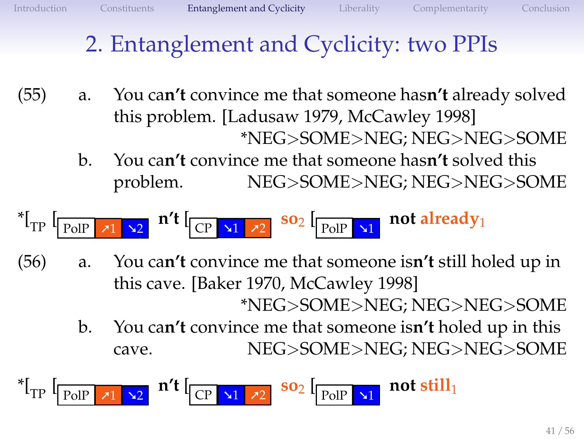- (55) a. You ca**n't** convince me that someone has**n't** already solved this problem. [Ladusaw 1979, McCawley 1998] \*NEG>SOME>NEG; NEG>NEG>SOME
	- b. You ca**n't** convince me that someone has**n't** solved this problem. NEG>SOME>NEG; NEG>NEG>SOME

$$
{}^* \left[ \text{Tr} \left[ \frac{1}{\text{PolP}} \right] \times 1 \right] \times 2 \text{ if } \left[ \text{Tr} \left[ \frac{1}{\text{ColP}} \right] \times 1 \right] \times 2 \text{ }^{\text{SO}_2} \left[ \text{PolP} \right] \times 1 \text{ not already}.
$$

- (56) a. You ca**n't** convince me that someone is**n't** still holed up in this cave. [Baker 1970, McCawley 1998] \*NEG>SOME>NEG; NEG>NEG>SOME
	- b. You ca**n't** convince me that someone is**n't** holed up in this cave. NEG>SOME>NEG; NEG>NEG>SOME

\*[TP [ PolP ➚1 ➘2 **n't** [ CP ➘1 ➚2 **so**<sup>2</sup> [ PolP ➘1 **not still**<sup>1</sup>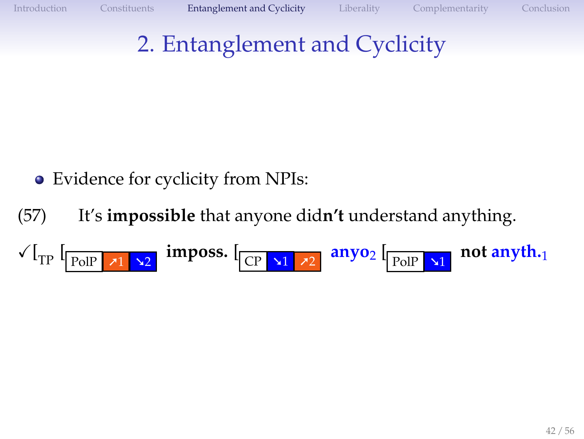## 2. Entanglement and Cyclicity

- Evidence for cyclicity from NPIs:  $\bullet$
- (57) It's **impossible** that anyone did**n't** understand anything.
- $\sqrt{r}$   $\sqrt{r}$   $\sqrt{r}$   $\sqrt{r}$   $\sqrt{r}$   $\sqrt{r}$   $\sqrt{r}$   $\sqrt{r}$   $\sqrt{r}$   $\sqrt{r}$   $\sqrt{r}$   $\sqrt{r}$   $\sqrt{r}$   $\sqrt{r}$   $\sqrt{r}$   $\sqrt{r}$   $\sqrt{r}$   $\sqrt{r}$   $\sqrt{r}$   $\sqrt{r}$   $\sqrt{r}$   $\sqrt{r}$   $\sqrt{r}$   $\sqrt{r}$   $\sqrt{r}$   $\sqrt{r}$   $\sqrt{r}$   $\sqrt{r$ **not anyth.**<sup>1</sup>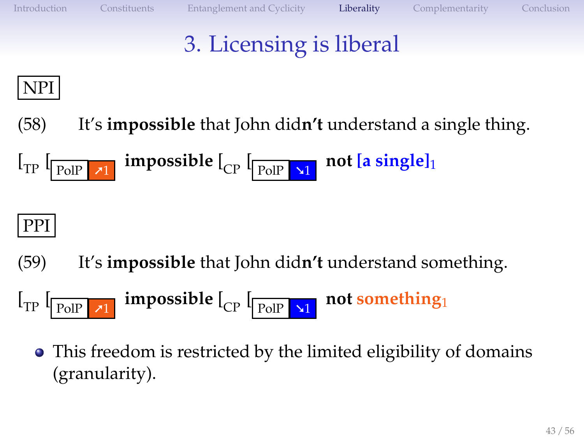## 3. Licensing is liberal

### NPI

(58) It's **impossible** that John did**n't** understand a single thing.

$$
\left[\begin{smallmatrix} 1 & 0 \\ 0 & 1 \end{smallmatrix}\right] \quad \text{impossible} \quad \left[\begin{smallmatrix} 1 & 0 \\ 0 & 1 \end{smallmatrix}\right] \quad \text{not} \quad \left[\begin{smallmatrix} 1 & 0 \\ 0 & 1 \end{smallmatrix}\right]
$$

### PPI

- (59) It's **impossible** that John did**n't** understand something.
- <span id="page-42-0"></span> $\left[\begin{matrix} 1 \end{matrix}\right]$   $\left[\begin{matrix} 1 \end{matrix}\right]$   $\left[\begin{matrix} 1 \end{matrix}\right]$   $\left[\begin{matrix} 1 \end{matrix}\right]$ **impossible** [<sub>CP</sub> [<sub>PolP</sub>  $\frac{1}{2}$ ] **not something**<sup>1</sup>
	- This freedom is restricted by the limited eligibility of domains  $\bullet$ (granularity).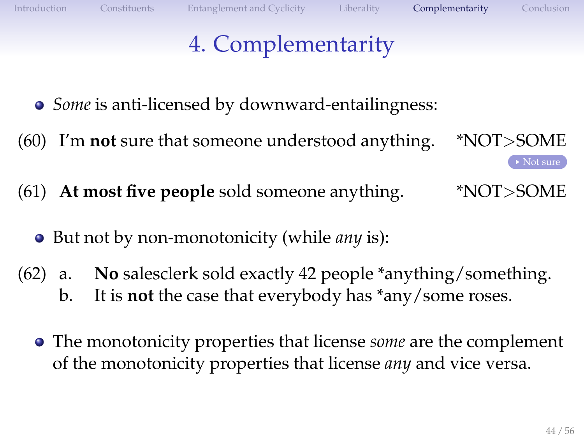<span id="page-43-1"></span><span id="page-43-0"></span>▶ [Not sure](#page-55-0)

# 4. Complementarity

- *Some* is anti-licensed by downward-entailingness:
- (60) I'm **not** sure that someone understood anything. \*NOT>SOME
- (61) **At most five people** sold someone anything. \*NOT>SOME
	- But not by non-monotonicity (while *any* is):  $\bullet$
- (62) a. **No** salesclerk sold exactly 42 people \*anything/something. b. It is **not** the case that everybody has \*any/some roses.
	- The monotonicity properties that license *some* are the complement of the monotonicity properties that license *any* and vice versa.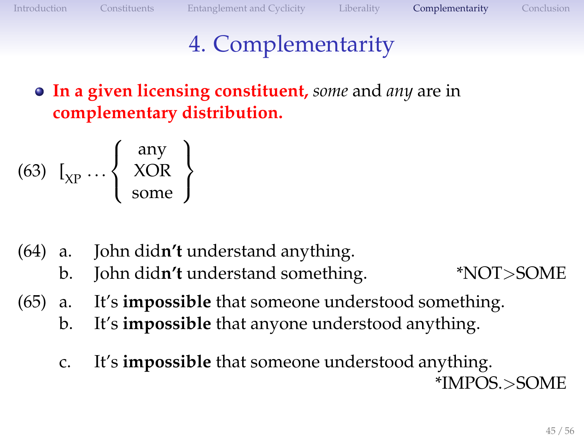### 4. Complementarity

#### **In a given licensing constituent,** *some* and *any* are in **complementary distribution.**

$$
(63) \ \ I_{\text{XP}} \dots \left\{ \begin{array}{c} \text{any} \\ \text{XOR} \\ \text{some} \end{array} \right\}
$$

- (64) a. John did**n't** understand anything.
	- b. John did**n't** understand something. \*NOT>SOME
- (65) a. It's **impossible** that someone understood something.
	- b. It's **impossible** that anyone understood anything.
	- c. It's **impossible** that someone understood anything. \*IMPOS.>SOME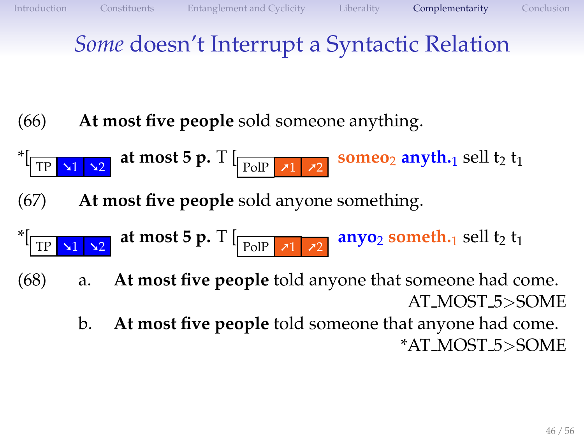### *Some* doesn't Interrupt a Syntactic Relation

- (66) **At most five people** sold someone anything.
- $*$  TP  $\overline{11}$   $\overline{12}$ **at most 5 p.** T  $\left[\frac{}{\text{PolP}}\right]$   $\left[\frac{1}{2}\right]$ **someo<sub>2</sub> anyth.**<sub>1</sub> sell t<sub>2</sub><sup>t<sub>1</sub></sup>
- (67) **At most five people** sold anyone something.
- $\sqrt{2}$ at most 5 p. T  $\left[\frac{}{\text{PolP}}\right]$   $\left[\frac{}{\text{vol}}\right]$ **anyo**<sub>2</sub> **someth.**<sub>1</sub> sell  $t_2$   $t_1$
- (68) a. **At most five people** told anyone that someone had come. AT MOST 5>SOME
	- b. **At most five people** told someone that anyone had come. \*AT MOST 5>SOME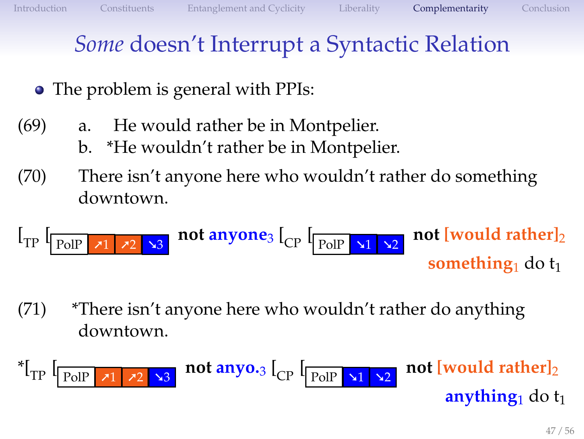### *Some* doesn't Interrupt a Syntactic Relation

- The problem is general with PPIs:
- (69) a. He would rather be in Montpelier.
	- b. \*He wouldn't rather be in Montpelier.
- (70) There isn't anyone here who wouldn't rather do something downtown.

 $\left[\frac{}{\text{PolP} \times 1} \right] \times 2$   $\frac{}{\times 3}$ **not anyone**<sub>3</sub> [<sub>CP</sub> [<sub>PolP</sub>  $\sqrt{\frac{2}{12}}$ **not** [would rather]<sub>2</sub> **something** do t<sub>1</sub>

(71) \*There isn't anyone here who wouldn't rather do anything downtown.

 $^*$ [ $_{\rm TP}$  [  $\blacktriangle$ 3 **not anyo.**3  $\begin{bmatrix} C \\ P \end{bmatrix}$   $\begin{bmatrix} P \end{bmatrix}$   $\begin{bmatrix} \frac{1}{2} & \frac{1}{2} \\ 2 & \frac{1}{2} \end{bmatrix}$ **not** [would rather]<sub>2</sub> **anything**<sub>1</sub> do  $t_1$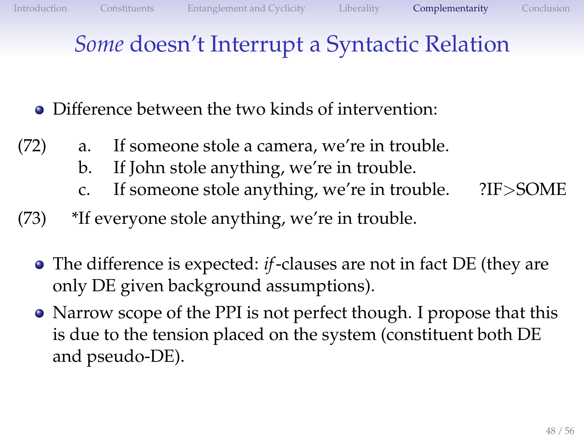### *Some* doesn't Interrupt a Syntactic Relation

- Difference between the two kinds of intervention:
- (72) a. If someone stole a camera, we're in trouble.
	- b. If John stole anything, we're in trouble.
	- c. If someone stole anything, we're in trouble. ?IF>SOME
- (73) \*If everyone stole anything, we're in trouble.
	- The difference is expected: *if*-clauses are not in fact DE (they are only DE given background assumptions).
	- Narrow scope of the PPI is not perfect though. I propose that this is due to the tension placed on the system (constituent both DE and pseudo-DE).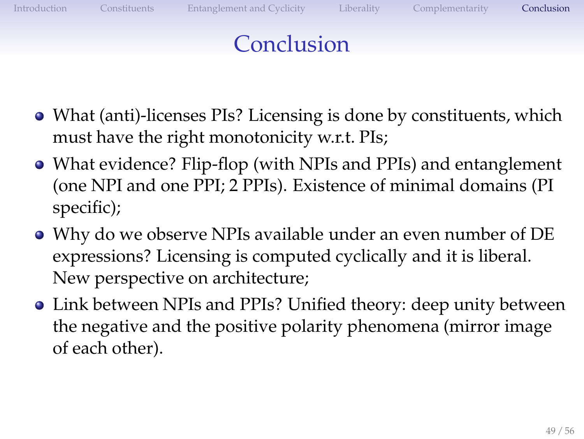## Conclusion

- What (anti)-licenses PIs? Licensing is done by constituents, which must have the right monotonicity w.r.t. PIs;
- What evidence? Flip-flop (with NPIs and PPIs) and entanglement (one NPI and one PPI; 2 PPIs). Existence of minimal domains (PI specific);
- Why do we observe NPIs available under an even number of DE expressions? Licensing is computed cyclically and it is liberal. New perspective on architecture;
- <span id="page-48-0"></span>Link between NPIs and PPIs? Unified theory: deep unity between the negative and the positive polarity phenomena (mirror image of each other).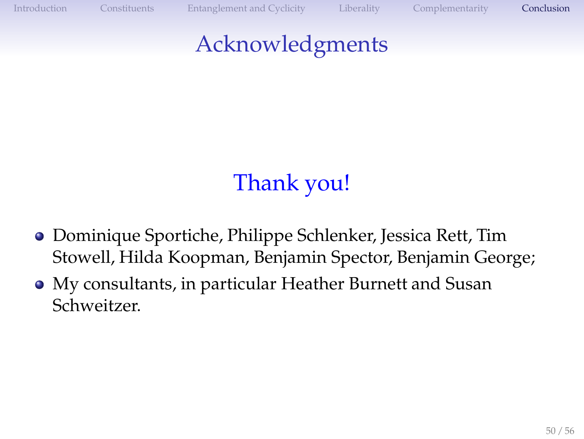[Introduction](#page-1-0) [Constituents](#page-15-0) [Entanglement and Cyclicity](#page-32-0) [Liberality](#page-42-0) [Complementarity](#page-43-0) [Conclusion](#page-48-0)

### Acknowledgments

# Thank you!

- Dominique Sportiche, Philippe Schlenker, Jessica Rett, Tim Stowell, Hilda Koopman, Benjamin Spector, Benjamin George;
- My consultants, in particular Heather Burnett and Susan Schweitzer.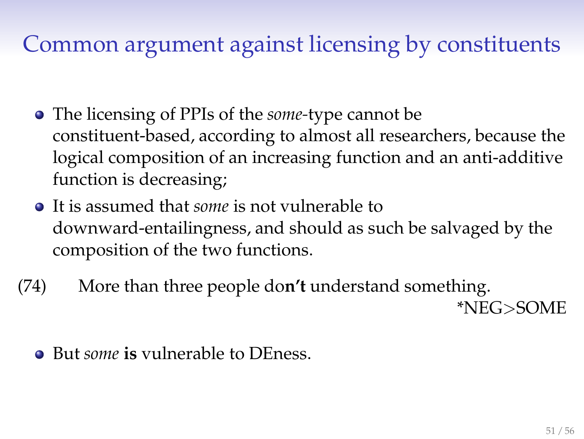#### Common argument against licensing by constituents

- The licensing of PPIs of the *some-*type cannot be constituent-based, according to almost all researchers, because the logical composition of an increasing function and an anti-additive function is decreasing;
- It is assumed that *some* is not vulnerable to downward-entailingness, and should as such be salvaged by the composition of the two functions.
- (74) More than three people do**n't** understand something. \*NEG>SOME
	- But *some* **is** vulnerable to DEness.  $\bullet$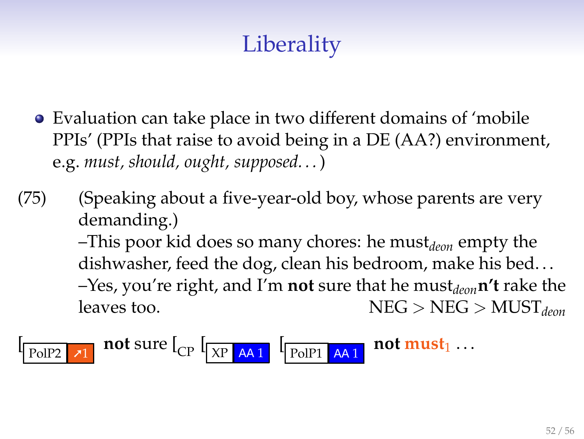# **Liberality**

- Evaluation can take place in two different domains of 'mobile PPIs' (PPIs that raise to avoid being in a DE (AA?) environment, e.g. *must, should, ought, supposed. . .*)
- (75) (Speaking about a five-year-old boy, whose parents are very demanding.) –This poor kid does so many chores: he must*deon* empty the dishwasher, feed the dog, clean his bedroom, make his bed... –Yes, you're right, and I'm **not** sure that he must*deon***n't** rake the leaves too. NEG > NEG > MUST<sub>deon</sub>

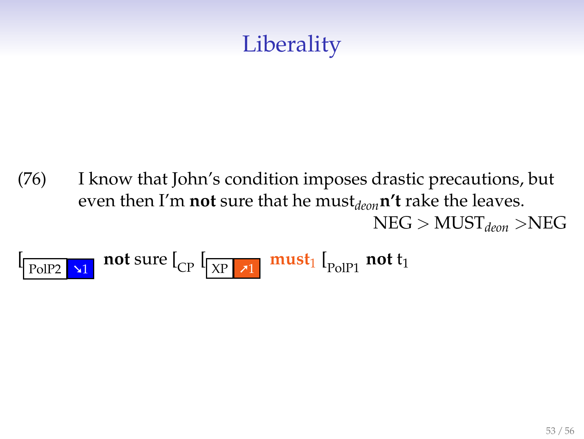## **Liberality**

(76) I know that John's condition imposes drastic precautions, but even then I'm **not** sure that he must*deon***n't** rake the leaves. NEG > MUST*deon* >NEG

$$
\begin{bmatrix} \begin{array}{|c|c|c|c|c|} \hline \text{PolP2} & \text{and} & \text{not sure} \end{array} \end{bmatrix} \begin{bmatrix} \begin{array}{|c|c|c|c|} \hline \text{X} & \text{and} & \text{and} & \text{not } t_1 \end{array} \end{bmatrix}
$$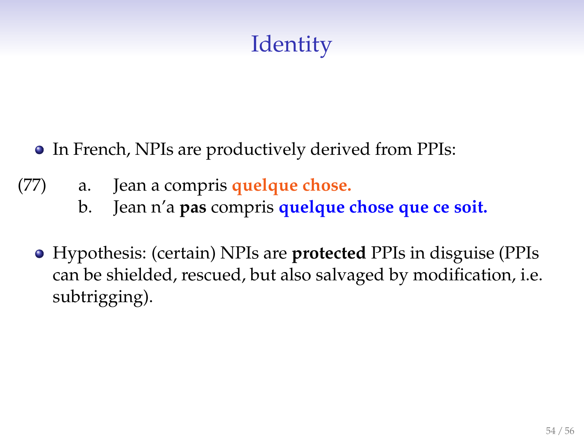## **Identity**

- In French, NPIs are productively derived from PPIs:  $\bullet$
- (77) a. Jean a compris **quelque chose.**
	- b. Jean n'a **pas** compris **quelque chose que ce soit.**
	- Hypothesis: (certain) NPIs are **protected** PPIs in disguise (PPIs can be shielded, rescued, but also salvaged by modification, i.e. subtrigging).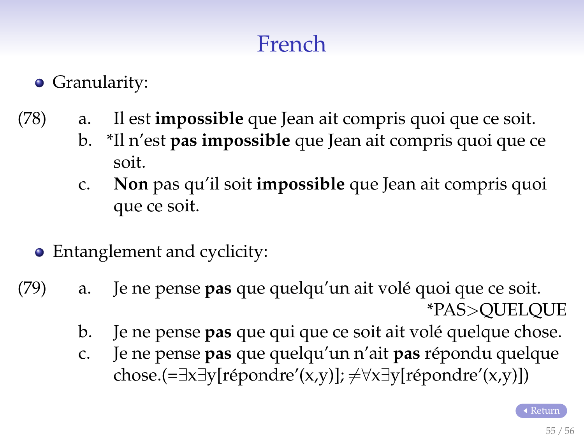## French

#### **•** Granularity:

- <span id="page-54-0"></span>(78) a. Il est **impossible** que Jean ait compris quoi que ce soit.
	- b. \*Il n'est **pas impossible** que Jean ait compris quoi que ce soit.
	- c. **Non** pas qu'il soit **impossible** que Jean ait compris quoi que ce soit.
	- Entanglement and cyclicity:
- (79) a. Je ne pense **pas** que quelqu'un ait volé quoi que ce soit. \*PAS>QUELQUE
	- b. Je ne pense **pas** que qui que ce soit ait volé quelque chose.
	- c. Je ne pense pas que quelqu'un n'ait pas répondu quelque chose.(=∃x∃y[répondre'(x,y)];  $\neq \forall x \exists y$ [répondre'(x,y)])